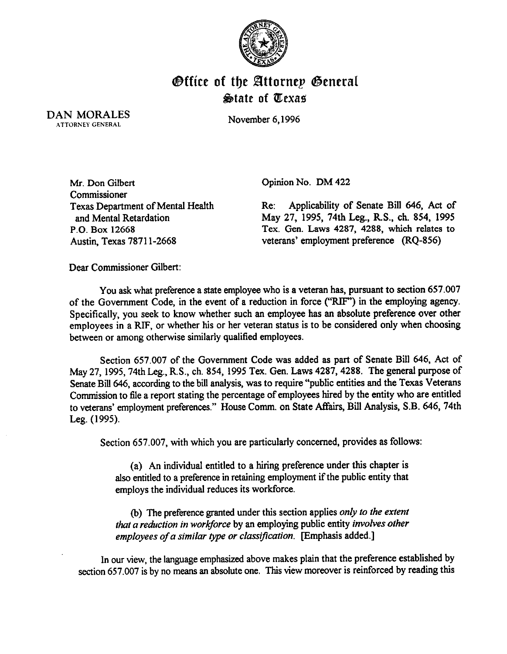

## **Office of the Attorney General**  $\triangle$ tate of  $x$ exas

DAN MORALES ATTORNEY GENERAL

November 6,1996

Mr. Don Gilbert Commissioner Texas Department of Mental Health and Mental Retardation P.O. Box 12668 Austin, Texas 7871 l-2668

Opinion No. DM 422

Re: Applicability of Senate Bill 646, Act of May 27, 1995, 74th Leg., R.S., ch. 854, 1995 Tex. Gen. Laws 4287, 4288, which relates to veterans' employment preference (RQ-856)

Dear Commissioner Gilbert:

You ask what preference a state employee who is a veteran has, pursuant to section 657.007 of the Government Code, in the event of a reduction in force ("RF') in the employing agency. Specifically, you seek to know whether such an employee has an absolute preference over other employees in a RIP, or whether his or her veteran status is to be considered only when choosing between or among otherwise similarly qualified employees.

Section 657.007 of the Government Code was added as part of Senate Bill 646, Act of May 27, 1995, 74th Leg., R.S., ch. 854, 1995 Tex. Gen. Laws 4287, 4288. The general purpose of Senate Bill 646, according to the bill analysis, was to require "public entities and the Texas Veterans Commission to file a report stating the percentage of employees hired by the entity who are entitled to veterans' employment preferences." House Comm. on State Affairs, Bill Analysis, S.B. 646, 74th Leg. (1995).

Section 657.007, with which you are particularly concerned, provides as follows:

(a) An individual entitled to a hiring preference under this chapter is also entitled to a preference in retaining employment if the public entity that employs the individual reduces its workforce.

(b) The preference granted under this section applies only to the extent *ihat a reduction in workforce* by an employing public entity *involves other employees of a similar type or classification.* [Emphasis added.]

In our view, the language emphasized above makes plain that the preference established by section 657.007 is by no means an absolute one. This view moreover is reinforced by reading this